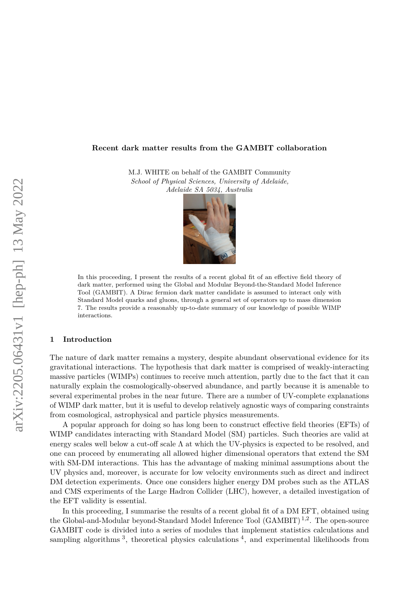### **Recent dark matter results from the GAMBIT collaboration**

M.J. WHITE on behalf of the GAMBIT Community *School of Physical Sciences, University of Adelaide, Adelaide SA 5034, Australia*



In this proceeding, I present the results of a recent global fit of an effective field theory of dark matter, performed using the Global and Modular Beyond-the-Standard Model Inference Tool (GAMBIT). A Dirac fermion dark matter candidate is assumed to interact only with Standard Model quarks and gluons, through a general set of operators up to mass dimension 7. The results provide a reasonably up-to-date summary of our knowledge of possible WIMP interactions.

### **1 Introduction**

The nature of dark matter remains a mystery, despite abundant observational evidence for its gravitational interactions. The hypothesis that dark matter is comprised of weakly-interacting massive particles (WIMPs) continues to receive much attention, partly due to the fact that it can naturally explain the cosmologically-observed abundance, and partly because it is amenable to several experimental probes in the near future. There are a number of UV-complete explanations of WIMP dark matter, but it is useful to develop relatively agnostic ways of comparing constraints from cosmological, astrophysical and particle physics measurements.

A popular approach for doing so has long been to construct effective field theories (EFTs) of WIMP candidates interacting with Standard Model (SM) particles. Such theories are valid at energy scales well below a cut-off scale  $\Lambda$  at which the UV-physics is expected to be resolved, and one can proceed by enumerating all allowed higher dimensional operators that extend the SM with SM-DM interactions. This has the advantage of making minimal assumptions about the UV physics and, moreover, is accurate for low velocity environments such as direct and indirect DM detection experiments. Once one considers higher energy DM probes such as the ATLAS and CMS experiments of the Large Hadron Collider (LHC), however, a detailed investigation of the EFT validity is essential.

In this proceeding, I summarise the results of a recent global fit of a DM EFT, obtained using the Global-and-Modular beyond-Standard Model Inference Tool (GAMBIT)<sup>[1](#page-3-0),[2](#page-3-1)</sup>. The open-source GAMBIT code is divided into a series of modules that implement statistics calculations and sampling algorithms  $3$ , theoretical physics calculations  $4$ , and experimental likelihoods from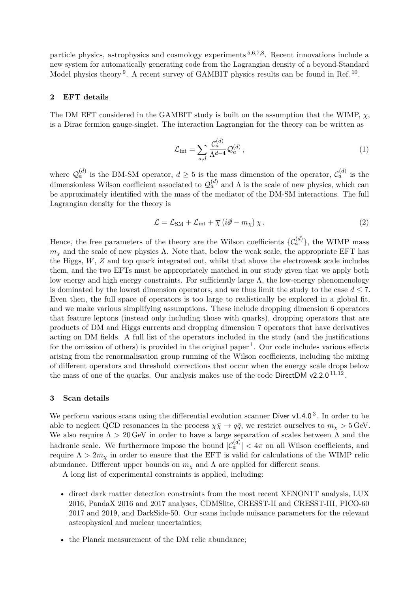particle physics, astrophysics and cosmology experiments [5](#page-3-4)*,*[6](#page-3-5)*,*[7](#page-3-6)*,*[8](#page-3-7) . Recent innovations include a new system for automatically generating code from the Lagrangian density of a beyond-Standard Model physics theory <sup>[9](#page-3-8)</sup>. A recent survey of GAMBIT physics results can be found in Ref.<sup>[10](#page-3-9)</sup>.

## **2 EFT details**

The DM EFT considered in the GAMBIT study is built on the assumption that the WIMP, *χ*, is a Dirac fermion gauge-singlet. The interaction Lagrangian for the theory can be written as

$$
\mathcal{L}_{\text{int}} = \sum_{a,d} \frac{\mathcal{C}_a^{(d)}}{\Lambda^{d-4}} \mathcal{Q}_a^{(d)} \,, \tag{1}
$$

where  $\mathcal{Q}_a^{(d)}$  is the DM-SM operator,  $d \geq 5$  is the mass dimension of the operator,  $\mathcal{C}_a^{(d)}$  is the dimensionless Wilson coefficient associated to  $\mathcal{Q}_a^{(d)}$  and  $\Lambda$  is the scale of new physics, which can be approximately identified with the mass of the mediator of the DM-SM interactions. The full Lagrangian density for the theory is

$$
\mathcal{L} = \mathcal{L}_{\text{SM}} + \mathcal{L}_{\text{int}} + \overline{\chi} \left( i\partial \!\!\! / - m_{\chi} \right) \chi \,. \tag{2}
$$

Hence, the free parameters of the theory are the Wilson coefficients  $\{C_a^{(d)}\}$ , the WIMP mass  $m<sub>x</sub>$  and the scale of new physics  $\Lambda$ . Note that, below the weak scale, the appropriate EFT has the Higgs, *W*, *Z* and top quark integrated out, whilst that above the electroweak scale includes them, and the two EFTs must be appropriately matched in our study given that we apply both low energy and high energy constraints. For sufficiently large  $\Lambda$ , the low-energy phenomenology is dominated by the lowest dimension operators, and we thus limit the study to the case  $d \leq 7$ . Even then, the full space of operators is too large to realistically be explored in a global fit, and we make various simplifying assumptions. These include dropping dimension 6 operators that feature leptons (instead only including those with quarks), dropping operators that are products of DM and Higgs currents and dropping dimension 7 operators that have derivatives acting on DM fields. A full list of the operators included in the study (and the justifications for the omission of others) is provided in the original paper<sup>[1](#page-3-0)</sup>. Our code includes various effects arising from the renormalisation group running of the Wilson coefficients, including the mixing of different operators and threshold corrections that occur when the energy scale drops below the mass of one of the quarks. Our analysis makes use of the code DirectDM v2.2.0<sup>[11](#page-3-10),[12](#page-3-11)</sup>.

#### **3 Scan details**

We perform various scans using the differential evolution scanner Diver  $v1.4.0<sup>3</sup>$  $v1.4.0<sup>3</sup>$  $v1.4.0<sup>3</sup>$ . In order to be able to neglect QCD resonances in the process  $\chi \bar{\chi} \to q \bar{q}$ , we restrict ourselves to  $m_{\chi} > 5$  GeV. We also require  $\Lambda > 20$  GeV in order to have a large separation of scales between  $\Lambda$  and the hadronic scale. We furthermore impose the bound  $|C_a^{(d)}| < 4\pi$  on all Wilson coefficients, and require  $\Lambda > 2m_\chi$  in order to ensure that the EFT is valid for calculations of the WIMP relic abundance. Different upper bounds on  $m<sub>\chi</sub>$  and  $\Lambda$  are applied for different scans.

A long list of experimental constraints is applied, including:

- direct dark matter detection constraints from the most recent XENON1T analysis, LUX 2016, PandaX 2016 and 2017 analyses, CDMSlite, CRESST-II and CRESST-III, PICO-60 2017 and 2019, and DarkSide-50. Our scans include nuisance parameters for the relevant astrophysical and nuclear uncertainties;
- the Planck measurement of the DM relic abundance;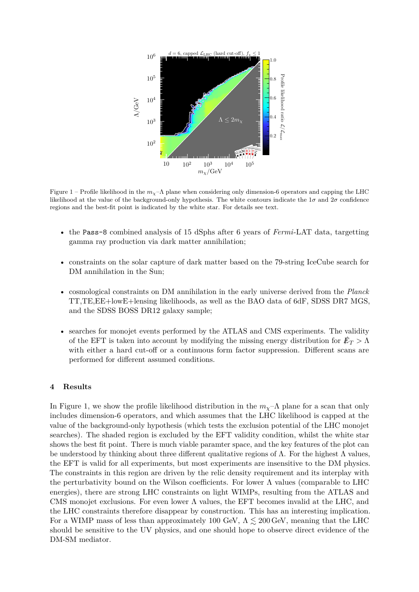

Figure 1 – Profile likelihood in the  $m<sub>X</sub>$ – $\Lambda$  plane when considering only dimension-6 operators and capping the LHC likelihood at the value of the background-only hypothesis. The white contours indicate the  $1\sigma$  and  $2\sigma$  confidence regions and the best-fit point is indicated by the white star. For details see text.

- the Pass-8 combined analysis of 15 dSphs after 6 years of *Fermi*-LAT data, targetting gamma ray production via dark matter annihilation;
- constraints on the solar capture of dark matter based on the 79-string IceCube search for DM annihilation in the Sun;
- cosmological constraints on DM annihilation in the early universe derived from the *Planck* TT,TE,EE+lowE+lensing likelihoods, as well as the BAO data of 6dF, SDSS DR7 MGS, and the SDSS BOSS DR12 galaxy sample;
- searches for monojet events performed by the ATLAS and CMS experiments. The validity of the EFT is taken into account by modifying the missing energy distribution for  $\not\mathbb{F}_T > \Lambda$ with either a hard cut-off or a continuous form factor suppression. Different scans are performed for different assumed conditions.

### <span id="page-2-0"></span>**4 Results**

In Figure [1,](#page-2-0) we show the profile likelihood distribution in the  $m<sub>\chi</sub>$ - $\Lambda$  plane for a scan that only includes dimension-6 operators, and which assumes that the LHC likelihood is capped at the value of the background-only hypothesis (which tests the exclusion potential of the LHC monojet searches). The shaded region is excluded by the EFT validity condition, whilst the white star shows the best fit point. There is much viable paramter space, and the key features of the plot can be understood by thinking about three different qualitative regions of  $\Lambda$ . For the highest  $\Lambda$  values, the EFT is valid for all experiments, but most experiments are insensitive to the DM physics. The constraints in this region are driven by the relic density requirement and its interplay with the perturbativity bound on the Wilson coefficients. For lower  $\Lambda$  values (comparable to LHC energies), there are strong LHC constraints on light WIMPs, resulting from the ATLAS and CMS monojet exclusions. For even lower  $\Lambda$  values, the EFT becomes invalid at the LHC, and the LHC constraints therefore disappear by construction. This has an interesting implication. For a WIMP mass of less than approximately 100 GeV,  $\Lambda \lesssim 200$  GeV, meaning that the LHC should be sensitive to the UV physics, and one should hope to observe direct evidence of the DM-SM mediator.